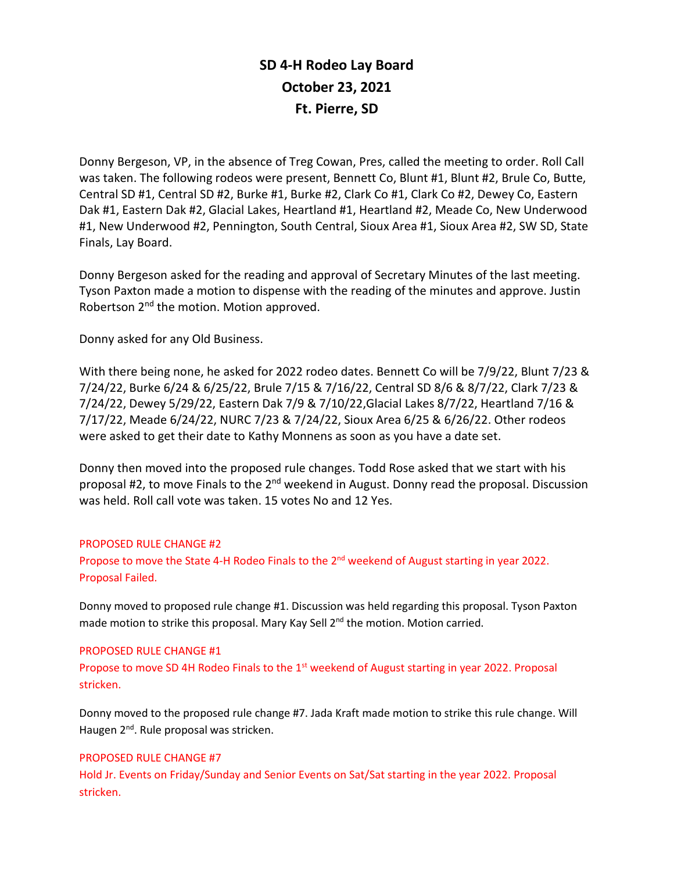# **SD 4-H Rodeo Lay Board October 23, 2021 Ft. Pierre, SD**

Donny Bergeson, VP, in the absence of Treg Cowan, Pres, called the meeting to order. Roll Call was taken. The following rodeos were present, Bennett Co, Blunt #1, Blunt #2, Brule Co, Butte, Central SD #1, Central SD #2, Burke #1, Burke #2, Clark Co #1, Clark Co #2, Dewey Co, Eastern Dak #1, Eastern Dak #2, Glacial Lakes, Heartland #1, Heartland #2, Meade Co, New Underwood #1, New Underwood #2, Pennington, South Central, Sioux Area #1, Sioux Area #2, SW SD, State Finals, Lay Board.

Donny Bergeson asked for the reading and approval of Secretary Minutes of the last meeting. Tyson Paxton made a motion to dispense with the reading of the minutes and approve. Justin Robertson 2<sup>nd</sup> the motion. Motion approved.

Donny asked for any Old Business.

With there being none, he asked for 2022 rodeo dates. Bennett Co will be 7/9/22, Blunt 7/23 & 7/24/22, Burke 6/24 & 6/25/22, Brule 7/15 & 7/16/22, Central SD 8/6 & 8/7/22, Clark 7/23 & 7/24/22, Dewey 5/29/22, Eastern Dak 7/9 & 7/10/22,Glacial Lakes 8/7/22, Heartland 7/16 & 7/17/22, Meade 6/24/22, NURC 7/23 & 7/24/22, Sioux Area 6/25 & 6/26/22. Other rodeos were asked to get their date to Kathy Monnens as soon as you have a date set.

Donny then moved into the proposed rule changes. Todd Rose asked that we start with his proposal #2, to move Finals to the 2<sup>nd</sup> weekend in August. Donny read the proposal. Discussion was held. Roll call vote was taken. 15 votes No and 12 Yes.

# PROPOSED RULE CHANGE #2

Propose to move the State 4-H Rodeo Finals to the 2<sup>nd</sup> weekend of August starting in year 2022. Proposal Failed.

Donny moved to proposed rule change #1. Discussion was held regarding this proposal. Tyson Paxton made motion to strike this proposal. Mary Kay Sell 2<sup>nd</sup> the motion. Motion carried.

#### PROPOSED RULE CHANGE #1

Propose to move SD 4H Rodeo Finals to the 1<sup>st</sup> weekend of August starting in year 2022. Proposal stricken.

Donny moved to the proposed rule change #7. Jada Kraft made motion to strike this rule change. Will Haugen 2<sup>nd</sup>. Rule proposal was stricken.

# PROPOSED RULE CHANGE #7

Hold Jr. Events on Friday/Sunday and Senior Events on Sat/Sat starting in the year 2022. Proposal stricken.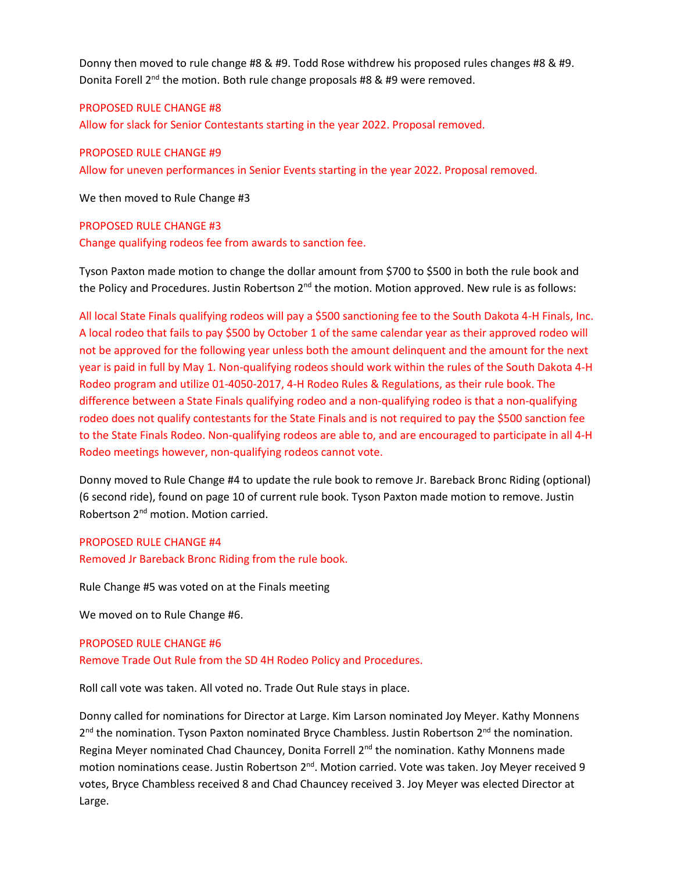Donny then moved to rule change #8 & #9. Todd Rose withdrew his proposed rules changes #8 & #9. Donita Forell 2<sup>nd</sup> the motion. Both rule change proposals #8 & #9 were removed.

#### PROPOSED RULE CHANGE #8

Allow for slack for Senior Contestants starting in the year 2022. Proposal removed.

## PROPOSED RULE CHANGE #9

Allow for uneven performances in Senior Events starting in the year 2022. Proposal removed.

We then moved to Rule Change #3

## PROPOSED RULE CHANGE #3

Change qualifying rodeos fee from awards to sanction fee.

Tyson Paxton made motion to change the dollar amount from \$700 to \$500 in both the rule book and the Policy and Procedures. Justin Robertson  $2^{nd}$  the motion. Motion approved. New rule is as follows:

All local State Finals qualifying rodeos will pay a \$500 sanctioning fee to the South Dakota 4-H Finals, Inc. A local rodeo that fails to pay \$500 by October 1 of the same calendar year as their approved rodeo will not be approved for the following year unless both the amount delinquent and the amount for the next year is paid in full by May 1. Non-qualifying rodeos should work within the rules of the South Dakota 4-H Rodeo program and utilize 01-4050-2017, 4-H Rodeo Rules & Regulations, as their rule book. The difference between a State Finals qualifying rodeo and a non-qualifying rodeo is that a non-qualifying rodeo does not qualify contestants for the State Finals and is not required to pay the \$500 sanction fee to the State Finals Rodeo. Non-qualifying rodeos are able to, and are encouraged to participate in all 4-H Rodeo meetings however, non-qualifying rodeos cannot vote.

Donny moved to Rule Change #4 to update the rule book to remove Jr. Bareback Bronc Riding (optional) (6 second ride), found on page 10 of current rule book. Tyson Paxton made motion to remove. Justin Robertson 2<sup>nd</sup> motion. Motion carried.

# PROPOSED RULE CHANGE #4

Removed Jr Bareback Bronc Riding from the rule book.

Rule Change #5 was voted on at the Finals meeting

We moved on to Rule Change #6.

#### PROPOSED RULE CHANGE #6

Remove Trade Out Rule from the SD 4H Rodeo Policy and Procedures.

Roll call vote was taken. All voted no. Trade Out Rule stays in place.

Donny called for nominations for Director at Large. Kim Larson nominated Joy Meyer. Kathy Monnens 2<sup>nd</sup> the nomination. Tyson Paxton nominated Bryce Chambless. Justin Robertson 2<sup>nd</sup> the nomination. Regina Meyer nominated Chad Chauncey, Donita Forrell 2<sup>nd</sup> the nomination. Kathy Monnens made motion nominations cease. Justin Robertson 2<sup>nd</sup>. Motion carried. Vote was taken. Joy Meyer received 9 votes, Bryce Chambless received 8 and Chad Chauncey received 3. Joy Meyer was elected Director at Large.